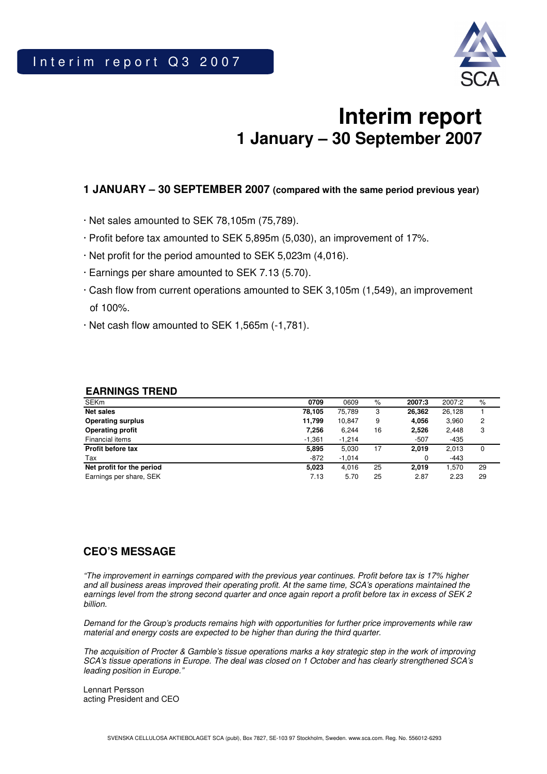

# **Interim report 1 January – 30 September 2007**

### **1 JANUARY – 30 SEPTEMBER 2007 (compared with the same period previous year)**

- · Net sales amounted to SEK 78,105m (75,789).
- · Profit before tax amounted to SEK 5,895m (5,030), an improvement of 17%.
- · Net profit for the period amounted to SEK 5,023m (4,016).
- · Earnings per share amounted to SEK 7.13 (5.70).
- · Cash flow from current operations amounted to SEK 3,105m (1,549), an improvement of 100%.
- · Net cash flow amounted to SEK 1,565m (-1,781).

| <b>SEKm</b>               | 0709     | 0609     | $\%$ | 2007:3 | 2007:2 | $\%$ |
|---------------------------|----------|----------|------|--------|--------|------|
| <b>Net sales</b>          | 78,105   | 75.789   | 3    | 26,362 | 26,128 |      |
| <b>Operating surplus</b>  | 11,799   | 10.847   | 9    | 4,056  | 3,960  | 2    |
| <b>Operating profit</b>   | 7,256    | 6.244    | 16   | 2,526  | 2,448  | 3    |
| Financial items           | $-1,361$ | $-1.214$ |      | $-507$ | $-435$ |      |
| Profit before tax         | 5,895    | 5.030    | 17   | 2.019  | 2,013  | 0    |
| Tax                       | $-872$   | $-1.014$ |      |        | -443   |      |
| Net profit for the period | 5,023    | 4,016    | 25   | 2.019  | 1.570  | 29   |
| Earnings per share, SEK   | 7.13     | 5.70     | 25   | 2.87   | 2.23   | 29   |

### **EARNINGS TREND**

### **CEO'S MESSAGE**

"The improvement in earnings compared with the previous year continues. Profit before tax is 17% higher and all business areas improved their operating profit. At the same time, SCA's operations maintained the earnings level from the strong second quarter and once again report a profit before tax in excess of SEK 2 billion.

Demand for the Group's products remains high with opportunities for further price improvements while raw material and energy costs are expected to be higher than during the third quarter.

The acquisition of Procter & Gamble's tissue operations marks a key strategic step in the work of improving SCA's tissue operations in Europe. The deal was closed on 1 October and has clearly strengthened SCA's leading position in Europe."

Lennart Persson acting President and CEO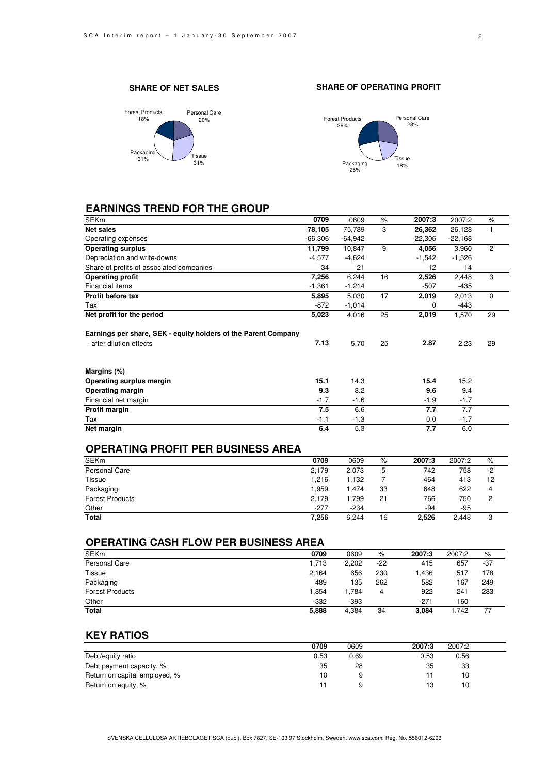#### **SHARE OF NET SALES**







### **EARNINGS TREND FOR THE GROUP**

| <b>SEKm</b>                                                    | 0709      | 0609      | $\%$ | 2007:3    | 2007:2    | $\%$           |
|----------------------------------------------------------------|-----------|-----------|------|-----------|-----------|----------------|
| <b>Net sales</b>                                               | 78,105    | 75,789    | 3    | 26,362    | 26,128    |                |
| Operating expenses                                             | $-66,306$ | $-64,942$ |      | $-22,306$ | $-22,168$ |                |
| <b>Operating surplus</b>                                       | 11,799    | 10,847    | 9    | 4,056     | 3,960     | $\overline{2}$ |
| Depreciation and write-downs                                   | $-4,577$  | $-4,624$  |      | $-1,542$  | $-1,526$  |                |
| Share of profits of associated companies                       | 34        | 21        |      | 12        | 14        |                |
| <b>Operating profit</b>                                        | 7,256     | 6,244     | 16   | 2,526     | 2,448     | 3              |
| Financial items                                                | $-1,361$  | $-1,214$  |      | $-507$    | -435      |                |
| Profit before tax                                              | 5,895     | 5,030     | 17   | 2,019     | 2,013     | $\Omega$       |
| Tax                                                            | -872      | $-1,014$  |      | 0         | -443      |                |
| Net profit for the period                                      | 5,023     | 4,016     | 25   | 2,019     | 1,570     | 29             |
| Earnings per share, SEK - equity holders of the Parent Company |           |           |      |           |           |                |
| - after dilution effects                                       | 7.13      | 5.70      | 25   | 2.87      | 2.23      | 29             |
| Margins (%)                                                    |           |           |      |           |           |                |
| Operating surplus margin                                       | 15.1      | 14.3      |      | 15.4      | 15.2      |                |
| <b>Operating margin</b>                                        | 9.3       | 8.2       |      | 9.6       | 9.4       |                |
| Financial net margin                                           | $-1.7$    | $-1.6$    |      | $-1.9$    | $-1.7$    |                |
| Profit margin                                                  | 7.5       | 6.6       |      | 7.7       | 7.7       |                |
| Tax                                                            | $-1.1$    | $-1.3$    |      | 0.0       | $-1.7$    |                |
| Net margin                                                     | 6.4       | 5.3       |      | 7.7       | 6.0       |                |

### **OPERATING PROFIT PER BUSINESS AREA**

| <b>SEKm</b>            | 0709   | 0609   | %  | 2007:3 | 2007:2 | %    |
|------------------------|--------|--------|----|--------|--------|------|
| Personal Care          | 2,179  | 2,073  | 5  | 742    | 758    | $-2$ |
| Tissue                 | 1,216  | 1,132  |    | 464    | 413    | 12   |
| Packaging              | 1,959  | .474   | 33 | 648    | 622    | 4    |
| <b>Forest Products</b> | 2,179  | .799   | 21 | 766    | 750    | 2    |
| Other                  | $-277$ | $-234$ |    | -94    | -95    |      |
| Total                  | 7.256  | 6.244  | 16 | 2.526  | 2.448  | 3    |

### **OPERATING CASH FLOW PER BUSINESS AREA**

| <b>SEKm</b>            | 0709   | 0609     | %     | 2007:3 | 2007:2 | %     |
|------------------------|--------|----------|-------|--------|--------|-------|
| Personal Care          | 1,713  | 2,202    | $-22$ | 415    | 657    | $-37$ |
| Tissue                 | 2.164  | 656      | 230   | 1.436  | 517    | 178   |
| Packaging              | 489    | 135      | 262   | 582    | 167    | 249   |
| <b>Forest Products</b> | .854   | . 784. ، | 4     | 922    | 241    | 283   |
| Other                  | $-332$ | $-393$   |       | $-271$ | 160    |       |
| <b>Total</b>           | 5,888  | 4.384    | 34    | 3.084  | 1.742  | 77    |

### **KEY RATIOS**

|                               | 0709 | 0609 | 2007:3 | 2007:2 |  |
|-------------------------------|------|------|--------|--------|--|
| Debt/equity ratio             | 0.53 | 0.69 | 0.53   | 0.56   |  |
| Debt payment capacity, %      | 35   | 28   | 35     | 33     |  |
| Return on capital employed, % | 10   |      |        | 10     |  |
| Return on equity, %           |      |      |        | 10     |  |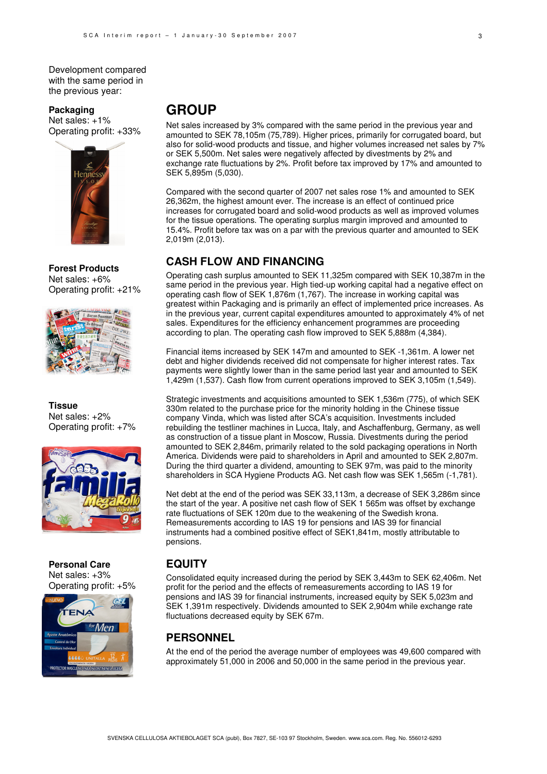Development compared with the same period in the previous year:

#### **Packaging**

Net sales: +1% Operating profit: +33%



**Forest Products**  Net sales: +6% Operating profit: +21%



**Tissue**  Net sales: +2% Operating profit: +7%



**Personal Care**  Net sales: +3% Operating profit: +5%



## **GROUP**

Net sales increased by 3% compared with the same period in the previous year and amounted to SEK 78,105m (75,789). Higher prices, primarily for corrugated board, but also for solid-wood products and tissue, and higher volumes increased net sales by 7% or SEK 5,500m. Net sales were negatively affected by divestments by 2% and exchange rate fluctuations by 2%. Profit before tax improved by 17% and amounted to SEK 5,895m (5,030).

Compared with the second quarter of 2007 net sales rose 1% and amounted to SEK 26,362m, the highest amount ever. The increase is an effect of continued price increases for corrugated board and solid-wood products as well as improved volumes for the tissue operations. The operating surplus margin improved and amounted to 15.4%. Profit before tax was on a par with the previous quarter and amounted to SEK 2,019m (2,013).

### **CASH FLOW AND FINANCING**

Operating cash surplus amounted to SEK 11,325m compared with SEK 10,387m in the same period in the previous year. High tied-up working capital had a negative effect on operating cash flow of SEK 1,876m (1,767). The increase in working capital was greatest within Packaging and is primarily an effect of implemented price increases. As in the previous year, current capital expenditures amounted to approximately 4% of net sales. Expenditures for the efficiency enhancement programmes are proceeding according to plan. The operating cash flow improved to SEK 5,888m (4,384).

Financial items increased by SEK 147m and amounted to SEK -1,361m. A lower net debt and higher dividends received did not compensate for higher interest rates. Tax payments were slightly lower than in the same period last year and amounted to SEK 1,429m (1,537). Cash flow from current operations improved to SEK 3,105m (1,549).

Strategic investments and acquisitions amounted to SEK 1,536m (775), of which SEK 330m related to the purchase price for the minority holding in the Chinese tissue company Vinda, which was listed after SCA's acquisition. Investments included rebuilding the testliner machines in Lucca, Italy, and Aschaffenburg, Germany, as well as construction of a tissue plant in Moscow, Russia. Divestments during the period amounted to SEK 2,846m, primarily related to the sold packaging operations in North America. Dividends were paid to shareholders in April and amounted to SEK 2,807m. During the third quarter a dividend, amounting to SEK 97m, was paid to the minority shareholders in SCA Hygiene Products AG. Net cash flow was SEK 1,565m (-1,781).

Net debt at the end of the period was SEK 33,113m, a decrease of SEK 3,286m since the start of the year. A positive net cash flow of SEK 1 565m was offset by exchange rate fluctuations of SEK 120m due to the weakening of the Swedish krona. Remeasurements according to IAS 19 for pensions and IAS 39 for financial instruments had a combined positive effect of SEK1,841m, mostly attributable to pensions.

### **EQUITY**

Consolidated equity increased during the period by SEK 3,443m to SEK 62,406m. Net profit for the period and the effects of remeasurements according to IAS 19 for pensions and IAS 39 for financial instruments, increased equity by SEK 5,023m and SEK 1,391m respectively. Dividends amounted to SEK 2,904m while exchange rate fluctuations decreased equity by SEK 67m.

### **PERSONNEL**

At the end of the period the average number of employees was 49,600 compared with approximately 51,000 in 2006 and 50,000 in the same period in the previous year.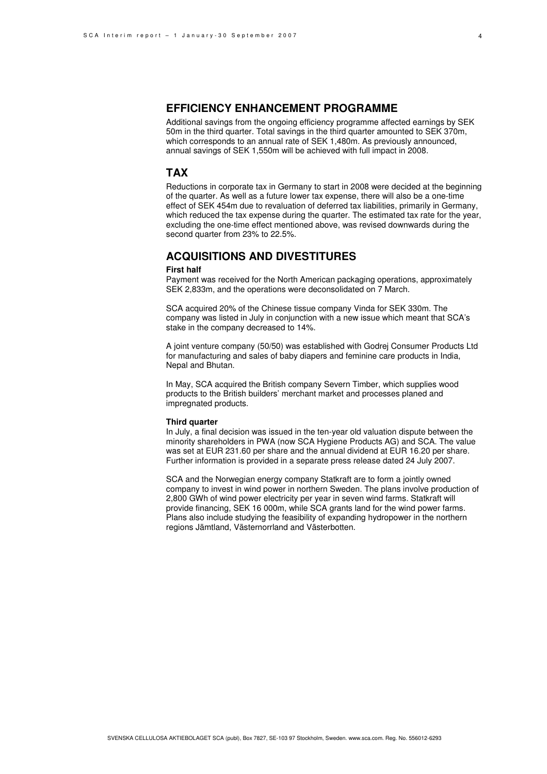### **EFFICIENCY ENHANCEMENT PROGRAMME**

Additional savings from the ongoing efficiency programme affected earnings by SEK 50m in the third quarter. Total savings in the third quarter amounted to SEK 370m, which corresponds to an annual rate of SEK 1,480m. As previously announced, annual savings of SEK 1,550m will be achieved with full impact in 2008.

#### **TAX**

Reductions in corporate tax in Germany to start in 2008 were decided at the beginning of the quarter. As well as a future lower tax expense, there will also be a one-time effect of SEK 454m due to revaluation of deferred tax liabilities, primarily in Germany, which reduced the tax expense during the quarter. The estimated tax rate for the year, excluding the one-time effect mentioned above, was revised downwards during the second quarter from 23% to 22.5%.

### **ACQUISITIONS AND DIVESTITURES**

#### **First half**

Payment was received for the North American packaging operations, approximately SEK 2,833m, and the operations were deconsolidated on 7 March.

SCA acquired 20% of the Chinese tissue company Vinda for SEK 330m. The company was listed in July in conjunction with a new issue which meant that SCA's stake in the company decreased to 14%.

A joint venture company (50/50) was established with Godrej Consumer Products Ltd for manufacturing and sales of baby diapers and feminine care products in India, Nepal and Bhutan.

In May, SCA acquired the British company Severn Timber, which supplies wood products to the British builders' merchant market and processes planed and impregnated products.

#### **Third quarter**

In July, a final decision was issued in the ten-year old valuation dispute between the minority shareholders in PWA (now SCA Hygiene Products AG) and SCA. The value was set at EUR 231.60 per share and the annual dividend at EUR 16.20 per share. Further information is provided in a separate press release dated 24 July 2007.

SCA and the Norwegian energy company Statkraft are to form a jointly owned company to invest in wind power in northern Sweden. The plans involve production of 2,800 GWh of wind power electricity per year in seven wind farms. Statkraft will provide financing, SEK 16 000m, while SCA grants land for the wind power farms. Plans also include studying the feasibility of expanding hydropower in the northern regions Jämtland, Västernorrland and Västerbotten.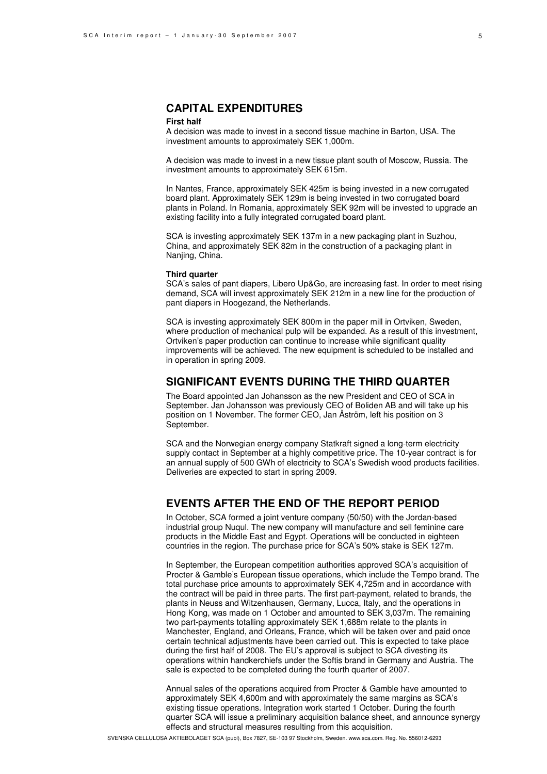### **CAPITAL EXPENDITURES**

#### **First half**

A decision was made to invest in a second tissue machine in Barton, USA. The investment amounts to approximately SEK 1,000m.

A decision was made to invest in a new tissue plant south of Moscow, Russia. The investment amounts to approximately SEK 615m.

In Nantes, France, approximately SEK 425m is being invested in a new corrugated board plant. Approximately SEK 129m is being invested in two corrugated board plants in Poland. In Romania, approximately SEK 92m will be invested to upgrade an existing facility into a fully integrated corrugated board plant.

SCA is investing approximately SEK 137m in a new packaging plant in Suzhou, China, and approximately SEK 82m in the construction of a packaging plant in Nanjing, China.

#### **Third quarter**

SCA's sales of pant diapers, Libero Up&Go, are increasing fast. In order to meet rising demand, SCA will invest approximately SEK 212m in a new line for the production of pant diapers in Hoogezand, the Netherlands.

SCA is investing approximately SEK 800m in the paper mill in Ortviken, Sweden, where production of mechanical pulp will be expanded. As a result of this investment, Ortviken's paper production can continue to increase while significant quality improvements will be achieved. The new equipment is scheduled to be installed and in operation in spring 2009.

### **SIGNIFICANT EVENTS DURING THE THIRD QUARTER**

The Board appointed Jan Johansson as the new President and CEO of SCA in September. Jan Johansson was previously CEO of Boliden AB and will take up his position on 1 November. The former CEO, Jan Åström, left his position on 3 September.

SCA and the Norwegian energy company Statkraft signed a long-term electricity supply contact in September at a highly competitive price. The 10-year contract is for an annual supply of 500 GWh of electricity to SCA's Swedish wood products facilities. Deliveries are expected to start in spring 2009.

### **EVENTS AFTER THE END OF THE REPORT PERIOD**

In October, SCA formed a joint venture company (50/50) with the Jordan-based industrial group Nuqul. The new company will manufacture and sell feminine care products in the Middle East and Egypt. Operations will be conducted in eighteen countries in the region. The purchase price for SCA's 50% stake is SEK 127m.

In September, the European competition authorities approved SCA's acquisition of Procter & Gamble's European tissue operations, which include the Tempo brand. The total purchase price amounts to approximately SEK 4,725m and in accordance with the contract will be paid in three parts. The first part-payment, related to brands, the plants in Neuss and Witzenhausen, Germany, Lucca, Italy, and the operations in Hong Kong, was made on 1 October and amounted to SEK 3,037m. The remaining two part-payments totalling approximately SEK 1,688m relate to the plants in Manchester, England, and Orleans, France, which will be taken over and paid once certain technical adjustments have been carried out. This is expected to take place during the first half of 2008. The EU's approval is subject to SCA divesting its operations within handkerchiefs under the Softis brand in Germany and Austria. The sale is expected to be completed during the fourth quarter of 2007.

Annual sales of the operations acquired from Procter & Gamble have amounted to approximately SEK 4,600m and with approximately the same margins as SCA's existing tissue operations. Integration work started 1 October. During the fourth quarter SCA will issue a preliminary acquisition balance sheet, and announce synergy effects and structural measures resulting from this acquisition.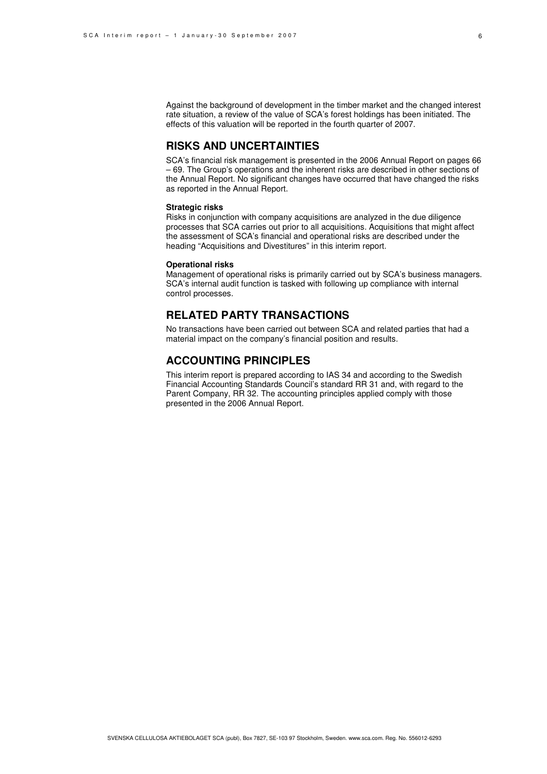Against the background of development in the timber market and the changed interest rate situation, a review of the value of SCA's forest holdings has been initiated. The effects of this valuation will be reported in the fourth quarter of 2007.

### **RISKS AND UNCERTAINTIES**

SCA's financial risk management is presented in the 2006 Annual Report on pages 66 – 69. The Group's operations and the inherent risks are described in other sections of the Annual Report. No significant changes have occurred that have changed the risks as reported in the Annual Report.

#### **Strategic risks**

Risks in conjunction with company acquisitions are analyzed in the due diligence processes that SCA carries out prior to all acquisitions. Acquisitions that might affect the assessment of SCA's financial and operational risks are described under the heading "Acquisitions and Divestitures" in this interim report.

#### **Operational risks**

Management of operational risks is primarily carried out by SCA's business managers. SCA's internal audit function is tasked with following up compliance with internal control processes.

### **RELATED PARTY TRANSACTIONS**

No transactions have been carried out between SCA and related parties that had a material impact on the company's financial position and results.

### **ACCOUNTING PRINCIPLES**

This interim report is prepared according to IAS 34 and according to the Swedish Financial Accounting Standards Council's standard RR 31 and, with regard to the Parent Company, RR 32. The accounting principles applied comply with those presented in the 2006 Annual Report.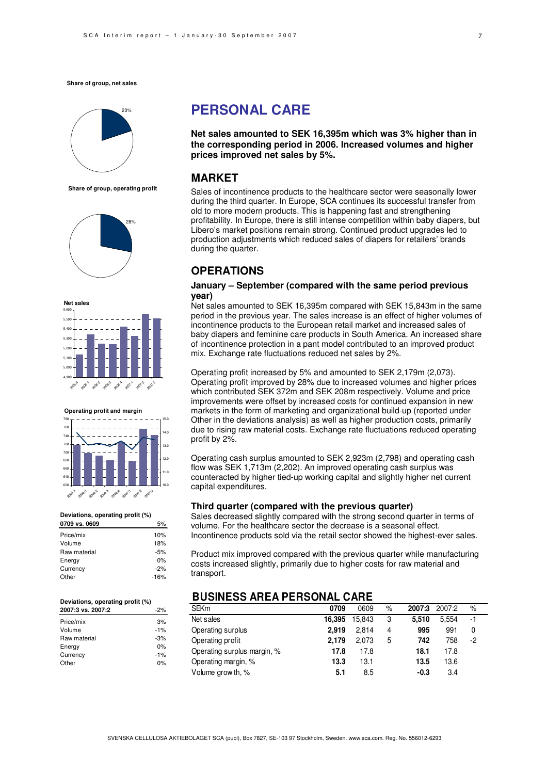

**Share of group, operating profit**





**Operating profit and margin**



#### **Deviations, operating profit (%)**

| 0709 vs. 0609 | 5%     |
|---------------|--------|
| Price/mix     | 10%    |
| Volume        | 18%    |
| Raw material  | $-5%$  |
| Energy        | 0%     |
| Currency      | $-2%$  |
| Other         | $-16%$ |
|               |        |

#### **Deviations, operating profit (%)**

| 2007:3 vs. 2007:2 | $-2%$ |
|-------------------|-------|
| Price/mix         | 3%    |
| Volume            | $-1%$ |
| Raw material      | $-3%$ |
| Energy            | 0%    |
| Currency          | $-1%$ |
| Other             | n%    |

## **PERSONAL CARE**

**Net sales amounted to SEK 16,395m which was 3% higher than in the corresponding period in 2006. Increased volumes and higher prices improved net sales by 5%.** 

### **MARKET**

Sales of incontinence products to the healthcare sector were seasonally lower during the third quarter. In Europe, SCA continues its successful transfer from old to more modern products. This is happening fast and strengthening profitability. In Europe, there is still intense competition within baby diapers, but Libero's market positions remain strong. Continued product upgrades led to production adjustments which reduced sales of diapers for retailers' brands during the quarter.

### **OPERATIONS**

#### **January – September (compared with the same period previous year)**

Net sales amounted to SEK 16,395m compared with SEK 15,843m in the same period in the previous year. The sales increase is an effect of higher volumes of incontinence products to the European retail market and increased sales of baby diapers and feminine care products in South America. An increased share of incontinence protection in a pant model contributed to an improved product mix. Exchange rate fluctuations reduced net sales by 2%.

Operating profit increased by 5% and amounted to SEK 2,179m (2,073). Operating profit improved by 28% due to increased volumes and higher prices which contributed SEK 372m and SEK 208m respectively. Volume and price improvements were offset by increased costs for continued expansion in new markets in the form of marketing and organizational build-up (reported under Other in the deviations analysis) as well as higher production costs, primarily due to rising raw material costs. Exchange rate fluctuations reduced operating profit by 2%.

Operating cash surplus amounted to SEK 2,923m (2,798) and operating cash flow was SEK 1,713m (2,202). An improved operating cash surplus was counteracted by higher tied-up working capital and slightly higher net current capital expenditures.

#### **Third quarter (compared with the previous quarter)**

Sales decreased slightly compared with the strong second quarter in terms of volume. For the healthcare sector the decrease is a seasonal effect. Incontinence products sold via the retail sector showed the highest-ever sales.

Product mix improved compared with the previous quarter while manufacturing costs increased slightly, primarily due to higher costs for raw material and transport.

### **BUSINESS AREA PERSONAL CARE**

| <b>SEKm</b>                 | 0709   | 0609   | % | 2007:3 | 2007:2 | $\%$ |
|-----------------------------|--------|--------|---|--------|--------|------|
| Net sales                   | 16,395 | 15.843 | 3 | 5.510  | 5.554  | -1   |
| Operating surplus           | 2.919  | 2.814  | 4 | 995    | 991    | 0    |
| Operating profit            | 2.179  | 2.073  | 5 | 742    | 758    | -2   |
| Operating surplus margin, % | 17.8   | 17.8   |   | 18.1   | 17.8   |      |
| Operating margin, %         | 13.3   | 13.1   |   | 13.5   | 13.6   |      |
| Volume grow th, %           | 5.1    | 8.5    |   | $-0.3$ | 3.4    |      |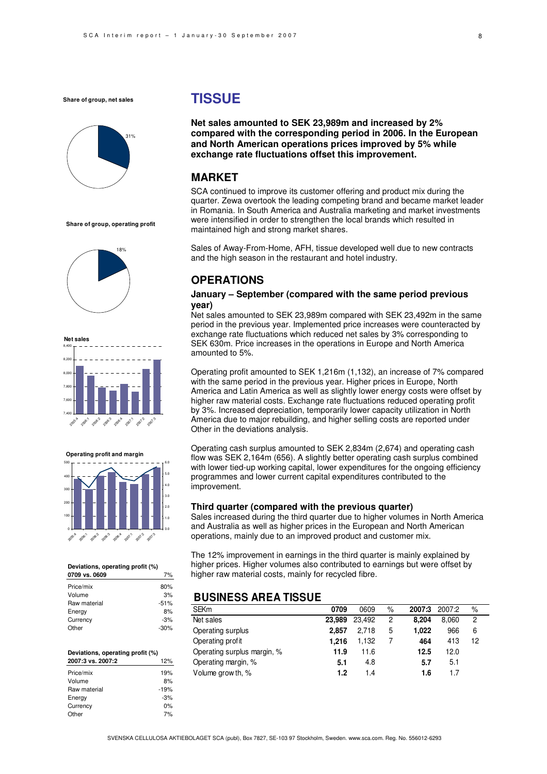

**Share of group, operating profit**





**Operating profit and margin**



**Deviations, operating profit (%)** 

| 0709 vs. 0609 |        |
|---------------|--------|
| Price/mix     | 80%    |
| Volume        | 3%     |
| Raw material  | $-51%$ |
| Energy        | 8%     |
| Currency      | $-3%$  |
| Other         | $-30%$ |

#### **Deviations, operating profit (%) 2007:3 vs. 2007:2** 12%٦ Price/mix 10% Volume 8% Raw material  $-19%$ Energy -3% Currency 0% Other 7%

## **TISSUE**

**Net sales amounted to SEK 23,989m and increased by 2% compared with the corresponding period in 2006. In the European and North American operations prices improved by 5% while exchange rate fluctuations offset this improvement.**

### **MARKET**

SCA continued to improve its customer offering and product mix during the quarter. Zewa overtook the leading competing brand and became market leader in Romania. In South America and Australia marketing and market investments were intensified in order to strengthen the local brands which resulted in maintained high and strong market shares.

Sales of Away-From-Home, AFH, tissue developed well due to new contracts and the high season in the restaurant and hotel industry.

### **OPERATIONS**

#### **January – September (compared with the same period previous year)**

Net sales amounted to SEK 23,989m compared with SEK 23,492m in the same period in the previous year. Implemented price increases were counteracted by exchange rate fluctuations which reduced net sales by 3% corresponding to SEK 630m. Price increases in the operations in Europe and North America amounted to 5%.

Operating profit amounted to SEK 1,216m (1,132), an increase of 7% compared with the same period in the previous year. Higher prices in Europe, North America and Latin America as well as slightly lower energy costs were offset by higher raw material costs. Exchange rate fluctuations reduced operating profit by 3%. Increased depreciation, temporarily lower capacity utilization in North America due to major rebuilding, and higher selling costs are reported under Other in the deviations analysis.

Operating cash surplus amounted to SEK 2,834m (2,674) and operating cash flow was SEK 2,164m (656). A slightly better operating cash surplus combined with lower tied-up working capital, lower expenditures for the ongoing efficiency programmes and lower current capital expenditures contributed to the improvement.

#### **Third quarter (compared with the previous quarter)**

Sales increased during the third quarter due to higher volumes in North America and Australia as well as higher prices in the European and North American operations, mainly due to an improved product and customer mix.

The 12% improvement in earnings in the third quarter is mainly explained by higher prices. Higher volumes also contributed to earnings but were offset by higher raw material costs, mainly for recycled fibre.

### **BUSINESS AREA TISSUE**

| <b>SEKm</b>                 | 0709   | 0609   | $\%$ | 2007:3 | 2007:2 | $\%$ |  |
|-----------------------------|--------|--------|------|--------|--------|------|--|
| Net sales                   | 23.989 | 23.492 | 2    | 8.204  | 8.060  | 2    |  |
| Operating surplus           | 2.857  | 2.718  | 5    | 1.022  | 966    | 6    |  |
| Operating profit            | 1.216  | 1.132  |      | 464    | 413    | 12   |  |
| Operating surplus margin, % | 11.9   | 11.6   |      | 12.5   | 12.0   |      |  |
| Operating margin, %         | 5.1    | 4.8    |      | 5.7    | 5.1    |      |  |
| Volume grow th, %           | 1.2    | 1.4    |      | 1.6    | 1.7    |      |  |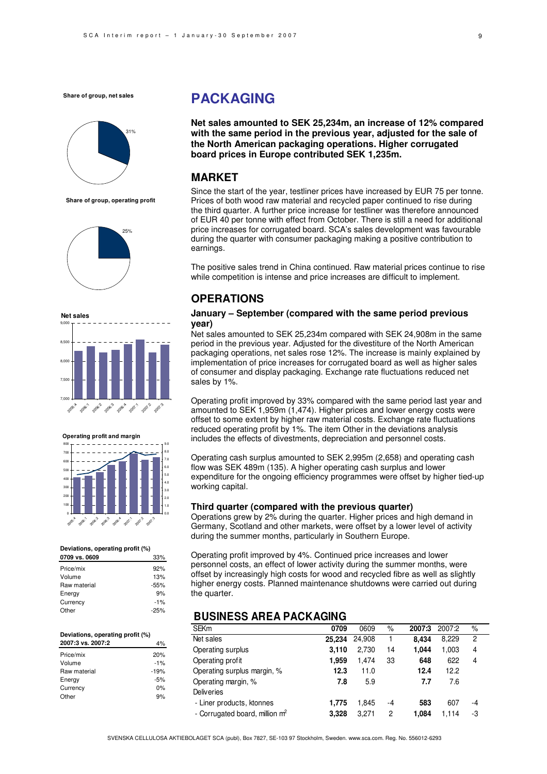

**Share of group, operating profit**





**Operating profit and margin**



#### **Deviations, operating profit (%)**

| 0709 vs. 0609 | 33%    |
|---------------|--------|
| Price/mix     | 92%    |
| Volume        | 13%    |
| Raw material  | $-55%$ |
| Energy        | 9%     |
| Currency      | $-1%$  |
| Other         | $-25%$ |
|               |        |

#### **Deviations, operating profit (%) 2007:3 vs. 2007:2** 4%

|              | .      |
|--------------|--------|
| Price/mix    | 20%    |
| Volume       | $-1%$  |
| Raw material | $-19%$ |
| Energy       | $-5%$  |
| Currency     | 0%     |
| Other        | 9%     |
|              |        |

## **PACKAGING**

**Net sales amounted to SEK 25,234m, an increase of 12% compared with the same period in the previous year, adjusted for the sale of the North American packaging operations. Higher corrugated board prices in Europe contributed SEK 1,235m.** 

### **MARKET**

Since the start of the year, testliner prices have increased by EUR 75 per tonne. Prices of both wood raw material and recycled paper continued to rise during the third quarter. A further price increase for testliner was therefore announced of EUR 40 per tonne with effect from October. There is still a need for additional price increases for corrugated board. SCA's sales development was favourable during the quarter with consumer packaging making a positive contribution to earnings.

The positive sales trend in China continued. Raw material prices continue to rise while competition is intense and price increases are difficult to implement.

### **OPERATIONS**

#### **January – September (compared with the same period previous year)**

Net sales amounted to SEK 25,234m compared with SEK 24,908m in the same period in the previous year. Adjusted for the divestiture of the North American packaging operations, net sales rose 12%. The increase is mainly explained by implementation of price increases for corrugated board as well as higher sales of consumer and display packaging. Exchange rate fluctuations reduced net sales by 1%.

Operating profit improved by 33% compared with the same period last year and amounted to SEK 1,959m (1,474). Higher prices and lower energy costs were offset to some extent by higher raw material costs. Exchange rate fluctuations reduced operating profit by 1%. The item Other in the deviations analysis includes the effects of divestments, depreciation and personnel costs.

Operating cash surplus amounted to SEK 2,995m (2,658) and operating cash flow was SEK 489m (135). A higher operating cash surplus and lower expenditure for the ongoing efficiency programmes were offset by higher tied-up working capital.

#### **Third quarter (compared with the previous quarter)**

Operations grew by 2% during the quarter. Higher prices and high demand in Germany, Scotland and other markets, were offset by a lower level of activity during the summer months, particularly in Southern Europe.

Operating profit improved by 4%. Continued price increases and lower personnel costs, an effect of lower activity during the summer months, were offset by increasingly high costs for wood and recycled fibre as well as slightly higher energy costs. Planned maintenance shutdowns were carried out during the quarter.

### **BUSINESS AREA PACKAGING**

| <b>SEKm</b>                                | 0709   | 0609   | %  | 2007:3 | 2007:2 | $\%$           |  |
|--------------------------------------------|--------|--------|----|--------|--------|----------------|--|
| Net sales                                  | 25.234 | 24.908 |    | 8.434  | 8.229  | $\overline{c}$ |  |
| Operating surplus                          | 3.110  | 2.730  | 14 | 1.044  | 1,003  | 4              |  |
| Operating profit                           | 1.959  | 1,474  | 33 | 648    | 622    | 4              |  |
| Operating surplus margin, %                | 12.3   | 11.0   |    | 12.4   | 12.2   |                |  |
| Operating margin, %                        | 7.8    | 5.9    |    | 7.7    | 7.6    |                |  |
| <b>Deliveries</b>                          |        |        |    |        |        |                |  |
| - Liner products, ktonnes                  | 1.775  | 1.845  | -4 | 583    | 607    | -4             |  |
| - Corrugated board, million m <sup>2</sup> | 3.328  | 3.271  | 2  | 1.084  | 1.114  | -3             |  |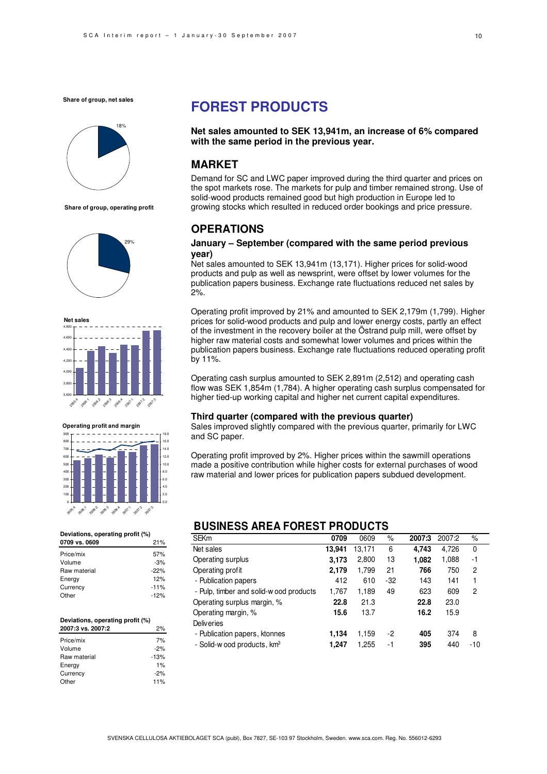

**Share of group, operating profit**









#### **Deviations, operating profit (%)**

| 21%    |
|--------|
| 57%    |
| $-3%$  |
| $-22%$ |
| 12%    |
| $-11%$ |
| $-12%$ |
|        |

#### **Deviations, operating profit (%)**

| 2007:3 vs. 2007:2 | 2%     |
|-------------------|--------|
| Price/mix         | 7%     |
| Volume            | $-2%$  |
| Raw material      | $-13%$ |
| Energy            | 1%     |
| Currency          | $-2%$  |
| Other             | 11%    |
|                   |        |

## **FOREST PRODUCTS**

#### **Net sales amounted to SEK 13,941m, an increase of 6% compared with the same period in the previous year.**

### **MARKET**

Demand for SC and LWC paper improved during the third quarter and prices on the spot markets rose. The markets for pulp and timber remained strong. Use of solid-wood products remained good but high production in Europe led to growing stocks which resulted in reduced order bookings and price pressure.

### **OPERATIONS**

#### **January – September (compared with the same period previous year)**

Net sales amounted to SEK 13,941m (13,171). Higher prices for solid-wood products and pulp as well as newsprint, were offset by lower volumes for the publication papers business. Exchange rate fluctuations reduced net sales by 2%.

Operating profit improved by 21% and amounted to SEK 2,179m (1,799). Higher prices for solid-wood products and pulp and lower energy costs, partly an effect of the investment in the recovery boiler at the Östrand pulp mill, were offset by higher raw material costs and somewhat lower volumes and prices within the publication papers business. Exchange rate fluctuations reduced operating profit by 11%.

Operating cash surplus amounted to SEK 2,891m (2,512) and operating cash flow was SEK 1,854m (1,784). A higher operating cash surplus compensated for higher tied-up working capital and higher net current capital expenditures.

#### **Third quarter (compared with the previous quarter)**

Sales improved slightly compared with the previous quarter, primarily for LWC and SC paper.

Operating profit improved by 2%. Higher prices within the sawmill operations made a positive contribution while higher costs for external purchases of wood raw material and lower prices for publication papers subdued development.

### **BUSINESS AREA FOREST PRODUCTS**

| <b>SEKm</b>                             | 0709   | 0609   | $\%$  | 2007:3 | 2007:2 | %     |
|-----------------------------------------|--------|--------|-------|--------|--------|-------|
| Net sales                               | 13,941 | 13,171 | 6     | 4,743  | 4,726  | 0     |
| Operating surplus                       | 3,173  | 2,800  | 13    | 1,082  | 1,088  | -1    |
| Operating profit                        | 2,179  | 1,799  | 21    | 766    | 750    | 2     |
| - Publication papers                    | 412    | 610    | $-32$ | 143    | 141    | 1     |
| - Pulp, timber and solid-wood products  | 1,767  | 1,189  | 49    | 623    | 609    | 2     |
| Operating surplus margin, %             | 22.8   | 21.3   |       | 22.8   | 23.0   |       |
| Operating margin, %                     | 15.6   | 13.7   |       | 16.2   | 15.9   |       |
| <b>Deliveries</b>                       |        |        |       |        |        |       |
| - Publication papers, ktonnes           | 1,134  | 1,159  | -2    | 405    | 374    | 8     |
| - Solid-w ood products, km <sup>3</sup> | 1.247  | 1,255  | -1    | 395    | 440    | $-10$ |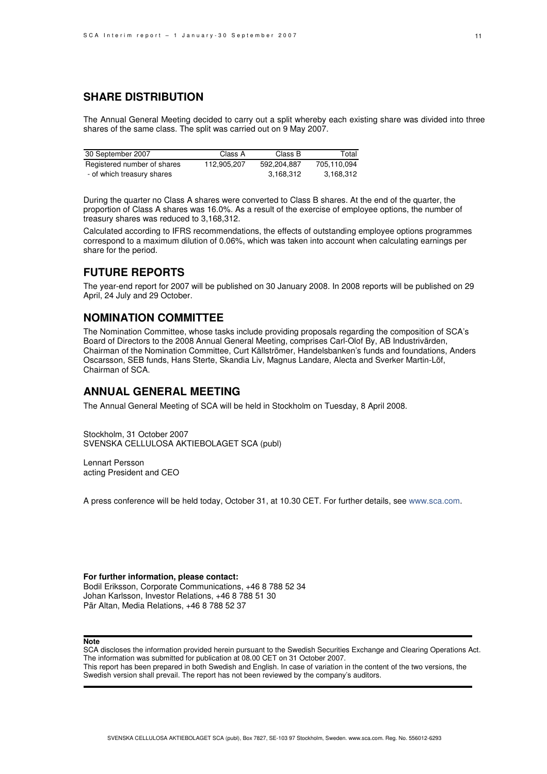### **SHARE DISTRIBUTION**

The Annual General Meeting decided to carry out a split whereby each existing share was divided into three shares of the same class. The split was carried out on 9 May 2007.

| 30 September 2007           | Class A     | Class B     | Total       |
|-----------------------------|-------------|-------------|-------------|
| Registered number of shares | 112.905.207 | 592.204.887 | 705,110,094 |
| - of which treasury shares  |             | 3.168.312   | 3.168.312   |

During the quarter no Class A shares were converted to Class B shares. At the end of the quarter, the proportion of Class A shares was 16.0%. As a result of the exercise of employee options, the number of treasury shares was reduced to 3,168,312.

Calculated according to IFRS recommendations, the effects of outstanding employee options programmes correspond to a maximum dilution of 0.06%, which was taken into account when calculating earnings per share for the period.

### **FUTURE REPORTS**

The year-end report for 2007 will be published on 30 January 2008. In 2008 reports will be published on 29 April, 24 July and 29 October.

### **NOMINATION COMMITTEE**

The Nomination Committee, whose tasks include providing proposals regarding the composition of SCA's Board of Directors to the 2008 Annual General Meeting, comprises Carl-Olof By, AB Industrivärden, Chairman of the Nomination Committee, Curt Källströmer, Handelsbanken's funds and foundations, Anders Oscarsson, SEB funds, Hans Sterte, Skandia Liv, Magnus Landare, Alecta and Sverker Martin-Löf, Chairman of SCA.

### **ANNUAL GENERAL MEETING**

The Annual General Meeting of SCA will be held in Stockholm on Tuesday, 8 April 2008.

Stockholm, 31 October 2007 SVENSKA CELLULOSA AKTIEBOLAGET SCA (publ)

Lennart Persson acting President and CEO

A press conference will be held today, October 31, at 10.30 CET. For further details, see www.sca.com.

#### **For further information, please contact:**

Bodil Eriksson, Corporate Communications, +46 8 788 52 34 Johan Karlsson, Investor Relations, +46 8 788 51 30 Pär Altan, Media Relations, +46 8 788 52 37

#### **Note**

SCA discloses the information provided herein pursuant to the Swedish Securities Exchange and Clearing Operations Act. The information was submitted for publication at 08.00 CET on 31 October 2007. This report has been prepared in both Swedish and English. In case of variation in the content of the two versions, the Swedish version shall prevail. The report has not been reviewed by the company's auditors.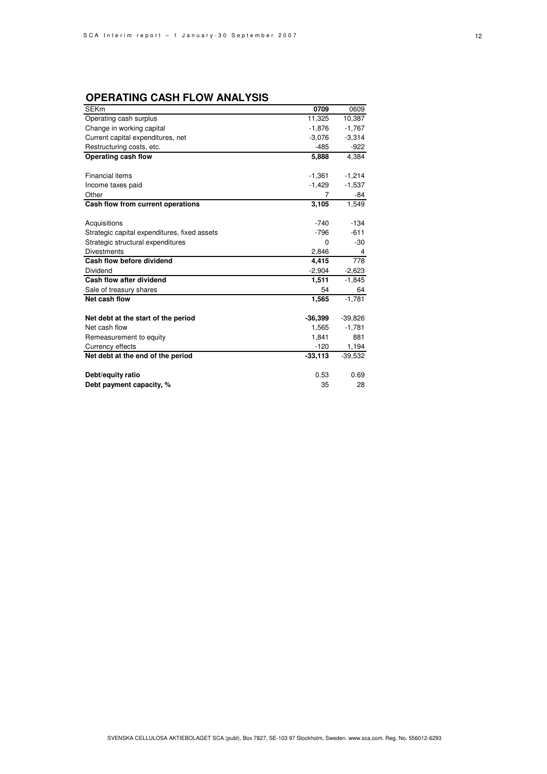## **OPERATING CASH FLOW ANALYSIS**

| <b>SEKm</b>                                  | 0709      | 0609      |
|----------------------------------------------|-----------|-----------|
| Operating cash surplus                       | 11,325    | 10,387    |
| Change in working capital                    | $-1,876$  | $-1,767$  |
| Current capital expenditures, net            | $-3,076$  | $-3,314$  |
| Restructuring costs, etc.                    | $-485$    | $-922$    |
| Operating cash flow                          | 5,888     | 4.384     |
|                                              |           |           |
| <b>Financial items</b>                       | $-1,361$  | $-1,214$  |
| Income taxes paid                            | $-1,429$  | $-1,537$  |
| Other                                        | 7         | -84       |
| Cash flow from current operations            | 3,105     | 1,549     |
|                                              |           |           |
| Acquisitions                                 | $-740$    | $-134$    |
| Strategic capital expenditures, fixed assets | $-796$    | $-611$    |
| Strategic structural expenditures            | $\Omega$  | $-30$     |
| <b>Divestments</b>                           | 2,846     | 4         |
| Cash flow before dividend                    | 4,415     | 778       |
| Dividend                                     | $-2,904$  | $-2,623$  |
| Cash flow after dividend                     | 1,511     | $-1,845$  |
| Sale of treasury shares                      | 54        | 64        |
| Net cash flow                                | 1,565     | $-1,781$  |
|                                              |           |           |
| Net debt at the start of the period          | $-36,399$ | $-39,826$ |
| Net cash flow                                | 1,565     | $-1,781$  |
| Remeasurement to equity                      | 1,841     | 881       |
| Currency effects                             | $-120$    | 1,194     |
| Net debt at the end of the period            | $-33,113$ | $-39,532$ |
|                                              |           |           |
| Debt/equity ratio                            | 0.53      | 0.69      |
| Debt payment capacity, %                     | 35        | 28        |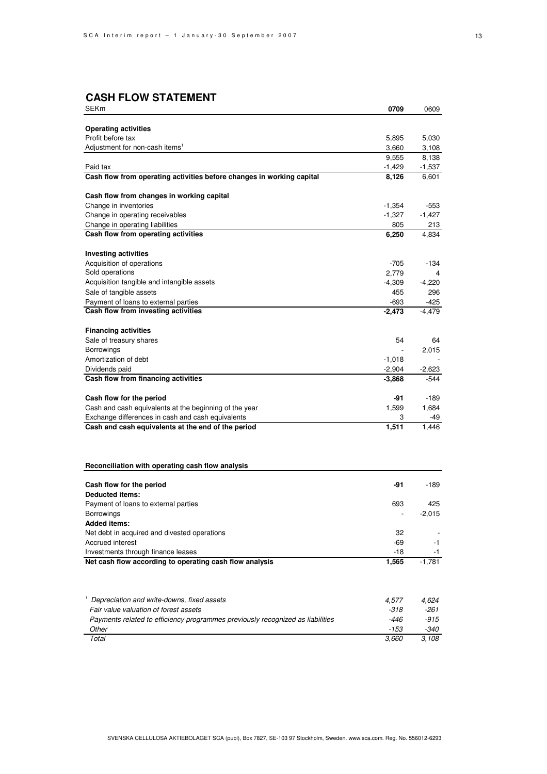## **CASH FLOW STATEMENT**

| SEKm                                                                           | 0709     | 0609        |
|--------------------------------------------------------------------------------|----------|-------------|
|                                                                                |          |             |
| <b>Operating activities</b>                                                    |          |             |
| Profit before tax                                                              | 5,895    | 5,030       |
| Adjustment for non-cash items <sup>1</sup>                                     | 3,660    | 3,108       |
|                                                                                | 9,555    | 8,138       |
| Paid tax                                                                       | $-1,429$ | -1,537      |
| Cash flow from operating activities before changes in working capital          | 8,126    | 6,601       |
| Cash flow from changes in working capital                                      |          |             |
| Change in inventories                                                          | $-1,354$ | -553        |
| Change in operating receivables                                                | $-1,327$ | $-1,427$    |
| Change in operating liabilities                                                | 805      | 213         |
| Cash flow from operating activities                                            | 6,250    | 4,834       |
| <b>Investing activities</b>                                                    |          |             |
| Acquisition of operations                                                      | $-705$   | -134        |
| Sold operations                                                                | 2,779    | 4           |
| Acquisition tangible and intangible assets                                     | $-4,309$ | $-4,220$    |
| Sale of tangible assets                                                        | 455      | 296         |
| Payment of loans to external parties                                           | $-693$   | $-425$      |
| Cash flow from investing activities                                            | $-2,473$ | $-4,479$    |
|                                                                                |          |             |
| <b>Financing activities</b><br>Sale of treasury shares                         | 54       |             |
| Borrowings                                                                     |          | 64<br>2,015 |
| Amortization of debt                                                           | $-1,018$ |             |
| Dividends paid                                                                 | $-2,904$ | $-2,623$    |
| Cash flow from financing activities                                            | $-3,868$ | $-544$      |
|                                                                                |          |             |
| Cash flow for the period                                                       | -91      | -189        |
| Cash and cash equivalents at the beginning of the year                         | 1,599    | 1,684       |
| Exchange differences in cash and cash equivalents                              | 3        | -49         |
| Cash and cash equivalents at the end of the period                             | 1,511    | 1,446       |
|                                                                                |          |             |
| Reconciliation with operating cash flow analysis                               |          |             |
| Cash flow for the period                                                       | -91      | $-189$      |
| <b>Deducted items:</b>                                                         |          |             |
| Payment of loans to external parties                                           | 693      | 425         |
| Borrowings                                                                     |          | $-2,015$    |
| <b>Added items:</b>                                                            |          |             |
| Net debt in acquired and divested operations                                   | 32       |             |
| Accrued interest                                                               | -69      | -1          |
| Investments through finance leases                                             | $-18$    | -1          |
| Net cash flow according to operating cash flow analysis                        | 1,565    | $-1,781$    |
|                                                                                |          |             |
| Depreciation and write-downs, fixed assets                                     | 4,577    | 4,624       |
| Fair value valuation of forest assets                                          | -318     | -261        |
| Payments related to efficiency programmes previously recognized as liabilities | -446     | $-915$      |
| Other                                                                          | -153     | -340        |
| Total                                                                          | 3,660    | 3,108       |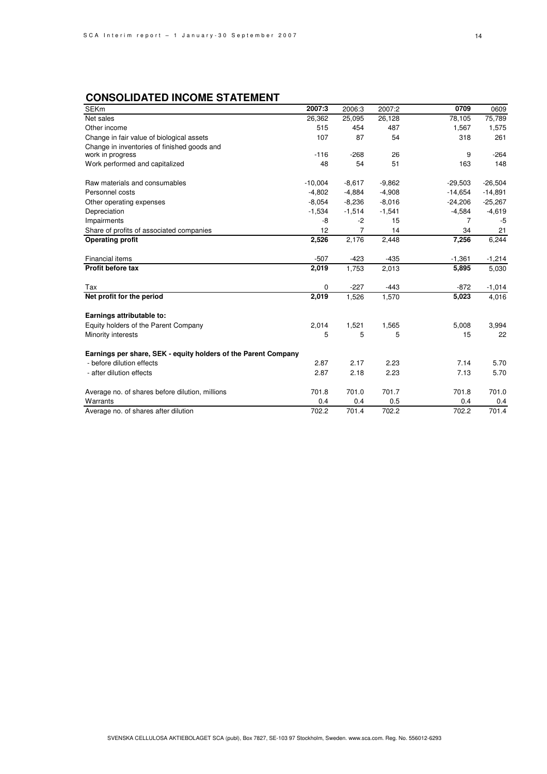## **CONSOLIDATED INCOME STATEMENT**

| <b>SEKm</b>                                                     | 2007:3    | 2006:3   | 2007:2   | 0709      | 0609      |
|-----------------------------------------------------------------|-----------|----------|----------|-----------|-----------|
| Net sales                                                       | 26,362    | 25,095   | 26,128   | 78,105    | 75,789    |
| Other income                                                    | 515       | 454      | 487      | 1,567     | 1,575     |
| Change in fair value of biological assets                       | 107       | 87       | 54       | 318       | 261       |
| Change in inventories of finished goods and<br>work in progress | $-116$    | $-268$   | 26       | 9         | $-264$    |
| Work performed and capitalized                                  | 48        | 54       | 51       | 163       | 148       |
| Raw materials and consumables                                   | $-10,004$ | $-8,617$ | $-9,862$ | $-29,503$ | $-26,504$ |
| Personnel costs                                                 | $-4,802$  | $-4,884$ | $-4,908$ | $-14,654$ | $-14,891$ |
| Other operating expenses                                        | $-8,054$  | $-8,236$ | $-8,016$ | $-24,206$ | $-25,267$ |
| Depreciation                                                    | $-1,534$  | $-1,514$ | $-1,541$ | $-4,584$  | $-4,619$  |
| Impairments                                                     | -8        | $-2$     | 15       | 7         | -5        |
| Share of profits of associated companies                        | 12        | 7        | 14       | 34        | 21        |
| <b>Operating profit</b>                                         | 2,526     | 2,176    | 2,448    | 7,256     | 6,244     |
| Financial items                                                 | $-507$    | $-423$   | $-435$   | $-1,361$  | $-1,214$  |
| Profit before tax                                               | 2,019     | 1,753    | 2,013    | 5,895     | 5,030     |
| Tax                                                             | 0         | $-227$   | $-443$   | $-872$    | $-1,014$  |
| Net profit for the period                                       | 2,019     | 1,526    | 1,570    | 5,023     | 4,016     |
| Earnings attributable to:                                       |           |          |          |           |           |
| Equity holders of the Parent Company                            | 2,014     | 1,521    | 1,565    | 5,008     | 3,994     |
| Minority interests                                              | 5         | 5        | 5        | 15        | 22        |
| Earnings per share, SEK - equity holders of the Parent Company  |           |          |          |           |           |
| - before dilution effects                                       | 2.87      | 2.17     | 2.23     | 7.14      | 5.70      |
| - after dilution effects                                        | 2.87      | 2.18     | 2.23     | 7.13      | 5.70      |
| Average no. of shares before dilution, millions                 | 701.8     | 701.0    | 701.7    | 701.8     | 701.0     |
| Warrants                                                        | 0.4       | 0.4      | 0.5      | 0.4       | 0.4       |
| Average no. of shares after dilution                            | 702.2     | 701.4    | 702.2    | 702.2     | 701.4     |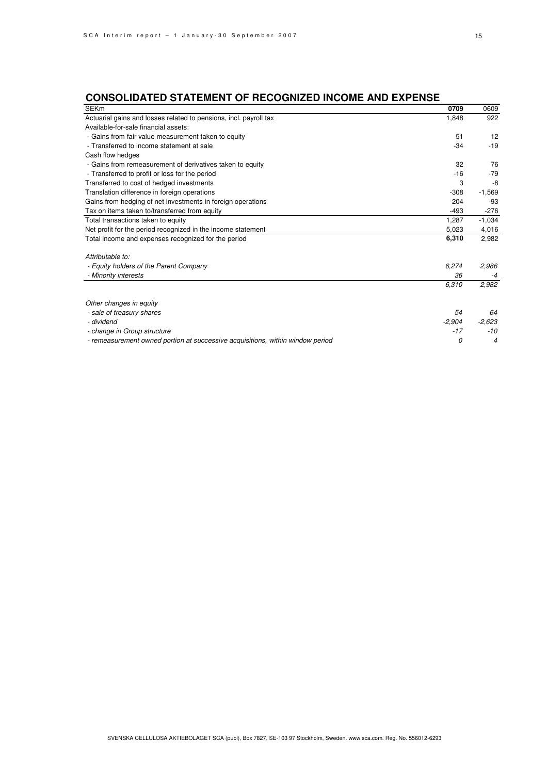## **CONSOLIDATED STATEMENT OF RECOGNIZED INCOME AND EXPENSE**

| <b>SEKm</b>                                                                    | 0709     | 0609           |
|--------------------------------------------------------------------------------|----------|----------------|
| Actuarial gains and losses related to pensions, incl. payroll tax              | 1,848    | 922            |
| Available-for-sale financial assets:                                           |          |                |
| - Gains from fair value measurement taken to equity                            | 51       | 12             |
| - Transferred to income statement at sale                                      | $-34$    | $-19$          |
| Cash flow hedges                                                               |          |                |
| - Gains from remeasurement of derivatives taken to equity                      | 32       | 76             |
| - Transferred to profit or loss for the period                                 | $-16$    | $-79$          |
| Transferred to cost of hedged investments                                      | 3        | -8             |
| Translation difference in foreign operations                                   | $-308$   | $-1,569$       |
| Gains from hedging of net investments in foreign operations                    | 204      | -93            |
| Tax on items taken to/transferred from equity                                  | $-493$   | $-276$         |
| Total transactions taken to equity                                             | 1,287    | $-1,034$       |
| Net profit for the period recognized in the income statement                   | 5,023    | 4,016          |
| Total income and expenses recognized for the period                            | 6,310    | 2,982          |
|                                                                                |          |                |
| Attributable to:                                                               |          |                |
| - Equity holders of the Parent Company                                         | 6,274    | 2,986          |
| - Minority interests                                                           | 36       | $-4$           |
|                                                                                | 6,310    | 2,982          |
|                                                                                |          |                |
| Other changes in equity                                                        |          |                |
| - sale of treasury shares                                                      | 54       | 64             |
| - dividend                                                                     | $-2,904$ | $-2,623$       |
| - change in Group structure                                                    | $-17$    | $-10$          |
| - remeasurement owned portion at successive acquisitions, within window period | 0        | $\overline{4}$ |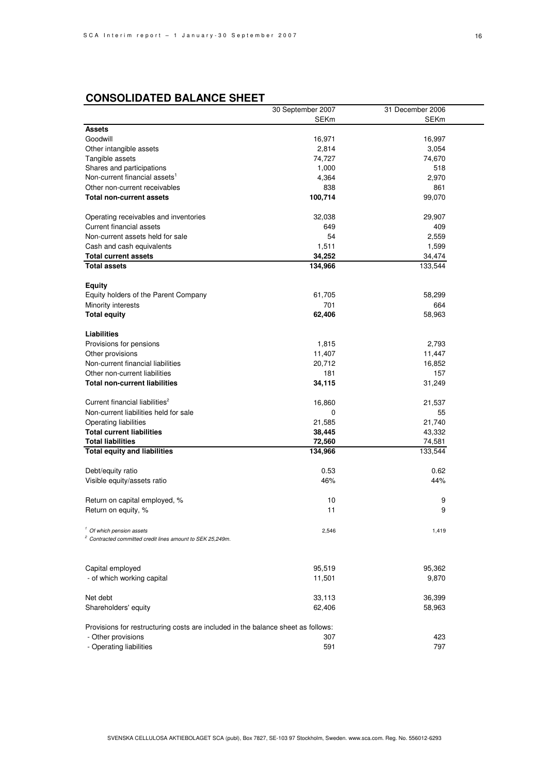|                                                                                                               | 30 September 2007 | 31 December 2006 |
|---------------------------------------------------------------------------------------------------------------|-------------------|------------------|
|                                                                                                               | <b>SEKm</b>       | SEKm             |
| <b>Assets</b>                                                                                                 |                   |                  |
| Goodwill                                                                                                      | 16,971            | 16,997           |
| Other intangible assets                                                                                       | 2,814             | 3,054            |
| Tangible assets                                                                                               | 74,727            | 74,670           |
| Shares and participations                                                                                     | 1,000             | 518              |
| Non-current financial assets <sup>1</sup>                                                                     | 4,364             | 2,970            |
| Other non-current receivables                                                                                 | 838               | 861              |
| <b>Total non-current assets</b>                                                                               | 100,714           | 99,070           |
| Operating receivables and inventories                                                                         | 32,038            | 29,907           |
| Current financial assets                                                                                      | 649               | 409              |
| Non-current assets held for sale                                                                              | 54                | 2,559            |
|                                                                                                               | 1,511             | 1,599            |
| Cash and cash equivalents                                                                                     |                   |                  |
| <b>Total current assets</b>                                                                                   | 34,252            | 34,474           |
| <b>Total assets</b>                                                                                           | 134,966           | 133,544          |
| <b>Equity</b>                                                                                                 |                   |                  |
| Equity holders of the Parent Company                                                                          | 61,705            | 58,299           |
| Minority interests                                                                                            | 701               | 664              |
| <b>Total equity</b>                                                                                           | 62,406            | 58,963           |
| <b>Liabilities</b>                                                                                            |                   |                  |
| Provisions for pensions                                                                                       | 1,815             | 2,793            |
| Other provisions                                                                                              | 11,407            | 11,447           |
| Non-current financial liabilities                                                                             | 20,712            | 16,852           |
| Other non-current liabilities                                                                                 | 181               | 157              |
|                                                                                                               |                   |                  |
| <b>Total non-current liabilities</b>                                                                          | 34,115            | 31,249           |
| Current financial liabilities <sup>2</sup>                                                                    | 16,860            | 21,537           |
| Non-current liabilities held for sale                                                                         | 0                 | 55               |
| Operating liabilities                                                                                         | 21,585            | 21,740           |
| <b>Total current liabilities</b>                                                                              | 38,445            | 43,332           |
| <b>Total liabilities</b>                                                                                      | 72,560            | 74,581           |
| <b>Total equity and liabilities</b>                                                                           | 134,966           | 133,544          |
| Debt/equity ratio                                                                                             | 0.53              | 0.62             |
| Visible equity/assets ratio                                                                                   | 46%               | 44%              |
|                                                                                                               |                   |                  |
| Return on capital employed, %                                                                                 | 10                | 9                |
| Return on equity, %                                                                                           | 11                | 9                |
|                                                                                                               |                   |                  |
| <sup>1</sup> Of which pension assets<br><sup>2</sup> Contracted committed credit lines amount to SEK 25,249m. | 2,546             | 1,419            |
|                                                                                                               |                   |                  |
| Capital employed                                                                                              | 95,519            | 95,362           |
| - of which working capital                                                                                    |                   |                  |
|                                                                                                               | 11,501            | 9,870            |
| Net debt                                                                                                      | 33,113            | 36,399           |
| Shareholders' equity                                                                                          | 62,406            | 58,963           |
| Provisions for restructuring costs are included in the balance sheet as follows:                              |                   |                  |
| - Other provisions                                                                                            | 307               | 423              |
| - Operating liabilities                                                                                       | 591               | 797              |
|                                                                                                               |                   |                  |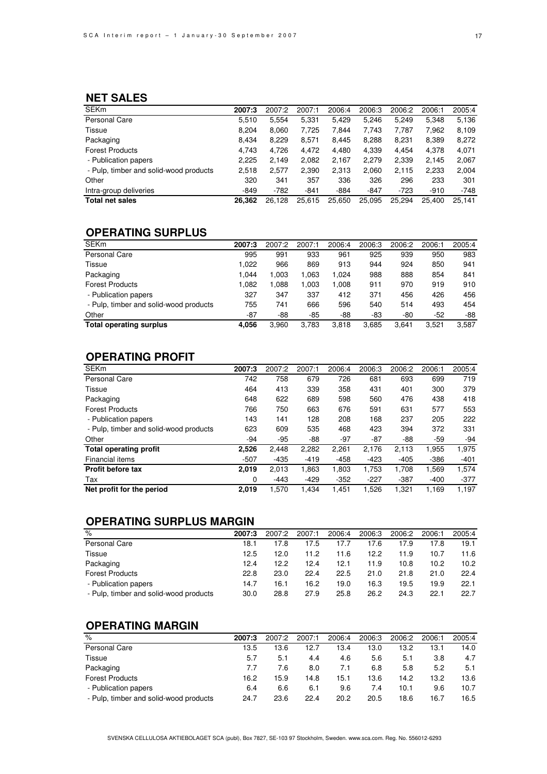## **NET SALES**

| <b>SEKm</b>                            | 2007:3 | 2007:2 | 2007:1 | 2006:4 | 2006:3 | 2006:2 | 2006:1 | 2005:4 |
|----------------------------------------|--------|--------|--------|--------|--------|--------|--------|--------|
| Personal Care                          | 5.510  | 5.554  | 5,331  | 5.429  | 5.246  | 5.249  | 5.348  | 5,136  |
| Tissue                                 | 8,204  | 8,060  | 7,725  | 7,844  | 7,743  | 7,787  | 7,962  | 8,109  |
| Packaging                              | 8,434  | 8,229  | 8,571  | 8.445  | 8,288  | 8,231  | 8,389  | 8,272  |
| <b>Forest Products</b>                 | 4.743  | 4.726  | 4.472  | 4.480  | 4,339  | 4.454  | 4.378  | 4,071  |
| - Publication papers                   | 2,225  | 2.149  | 2,082  | 2,167  | 2,279  | 2,339  | 2.145  | 2,067  |
| - Pulp, timber and solid-wood products | 2,518  | 2,577  | 2,390  | 2,313  | 2,060  | 2,115  | 2,233  | 2,004  |
| Other                                  | 320    | 341    | 357    | 336    | 326    | 296    | 233    | 301    |
| Intra-group deliveries                 | $-849$ | $-782$ | $-841$ | $-884$ | $-847$ | $-723$ | $-910$ | $-748$ |
| <b>Total net sales</b>                 | 26.362 | 26.128 | 25.615 | 25,650 | 25.095 | 25.294 | 25.400 | 25.141 |

## **OPERATING SURPLUS**

| <b>SEKm</b>                            | 2007:3 | 2007:2 | 2007:1 | 2006:4 | 2006:3 | 2006:2 | 2006:1 | 2005:4 |
|----------------------------------------|--------|--------|--------|--------|--------|--------|--------|--------|
| Personal Care                          | 995    | 991    | 933    | 961    | 925    | 939    | 950    | 983    |
| Tissue                                 | 1.022  | 966    | 869    | 913    | 944    | 924    | 850    | 941    |
| Packaging                              | 1.044  | 1.003  | 1.063  | 1,024  | 988    | 888    | 854    | 841    |
| <b>Forest Products</b>                 | 1.082  | 1.088  | 1.003  | 1,008  | 911    | 970    | 919    | 910    |
| - Publication papers                   | 327    | 347    | 337    | 412    | 371    | 456    | 426    | 456    |
| - Pulp, timber and solid-wood products | 755    | 741    | 666    | 596    | 540    | 514    | 493    | 454    |
| Other                                  | -87    | -88    | -85    | $-88$  | -83    | -80    | $-52$  | $-88$  |
| <b>Total operating surplus</b>         | 4,056  | 3,960  | 3,783  | 3,818  | 3,685  | 3.641  | 3.521  | 3,587  |

### **OPERATING PROFIT**

| <b>SEKm</b>                            | 2007:3 | 2007:2 | 2007:1 | 2006:4 | 2006:3 | 2006:2 | 2006:1 | 2005:4 |
|----------------------------------------|--------|--------|--------|--------|--------|--------|--------|--------|
| Personal Care                          | 742    | 758    | 679    | 726    | 681    | 693    | 699    | 719    |
| Tissue                                 | 464    | 413    | 339    | 358    | 431    | 401    | 300    | 379    |
| Packaging                              | 648    | 622    | 689    | 598    | 560    | 476    | 438    | 418    |
| <b>Forest Products</b>                 | 766    | 750    | 663    | 676    | 591    | 631    | 577    | 553    |
| - Publication papers                   | 143    | 141    | 128    | 208    | 168    | 237    | 205    | 222    |
| - Pulp, timber and solid-wood products | 623    | 609    | 535    | 468    | 423    | 394    | 372    | 331    |
| Other                                  | -94    | $-95$  | -88    | $-97$  | $-87$  | -88    | $-59$  | $-94$  |
| <b>Total operating profit</b>          | 2,526  | 2,448  | 2,282  | 2,261  | 2,176  | 2,113  | 1,955  | 1,975  |
| Financial items                        | $-507$ | $-435$ | $-419$ | $-458$ | $-423$ | $-405$ | $-386$ | $-401$ |
| <b>Profit before tax</b>               | 2,019  | 2,013  | 1,863  | 1,803  | 1,753  | 1,708  | 1,569  | 1,574  |
| Tax                                    | 0      | $-443$ | $-429$ | $-352$ | $-227$ | $-387$ | $-400$ | $-377$ |
| Net profit for the period              | 2.019  | 1.570  | 1.434  | 1.451  | 1.526  | 1.321  | 1.169  | 1.197  |

## **OPERATING SURPLUS MARGIN**

| $\frac{9}{6}$                          | 2007:3 | 2007:2 | 2007:1 | 2006:4 | 2006:3 | 2006:2 | 2006:1 | 2005:4 |
|----------------------------------------|--------|--------|--------|--------|--------|--------|--------|--------|
| Personal Care                          | 18.1   | 17.8   | 17.5   | 17.7   | 17.6   | 17.9   | 17.8   | 19.1   |
| Tissue                                 | 12.5   | 12.0   | 11.2   | 11.6   | 12.2   | 11.9   | 10.7   | 11.6   |
| Packaging                              | 12.4   | 12.2   | 12.4   | 12.1   | 11.9   | 10.8   | 10.2   | 10.2   |
| <b>Forest Products</b>                 | 22.8   | 23.0   | 22.4   | 22.5   | 21.0   | 21.8   | 21.0   | 22.4   |
| - Publication papers                   | 14.7   | 16.1   | 16.2   | 19.0   | 16.3   | 19.5   | 19.9   | 22.1   |
| - Pulp, timber and solid-wood products | 30.0   | 28.8   | 27.9   | 25.8   | 26.2   | 24.3   | 22.1   | 22.7   |

## **OPERATING MARGIN**

| $\%$                                   | 2007:3 | 2007:2 | 2007:1 | 2006:4 | 2006:3 | 2006:2 | 2006:1 | 2005:4 |
|----------------------------------------|--------|--------|--------|--------|--------|--------|--------|--------|
| Personal Care                          | 13.5   | 13.6   | 12.7   | 13.4   | 13.0   | 13.2   | 13.1   | 14.0   |
| <b>Tissue</b>                          | 5.7    | 5.1    | 4.4    | 4.6    | 5.6    | 5.1    | 3.8    | 4.7    |
| Packaging                              | 7.7    | 7.6    | 8.0    | 7.1    | 6.8    | 5.8    | 5.2    | 5.1    |
| <b>Forest Products</b>                 | 16.2   | 15.9   | 14.8   | 15.1   | 13.6   | 14.2   | 13.2   | 13.6   |
| - Publication papers                   | 6.4    | 6.6    | 6.1    | 9.6    | 7.4    | 10.1   | 9.6    | 10.7   |
| - Pulp, timber and solid-wood products | 24.7   | 23.6   | 22.4   | 20.2   | 20.5   | 18.6   | 16.7   | 16.5   |